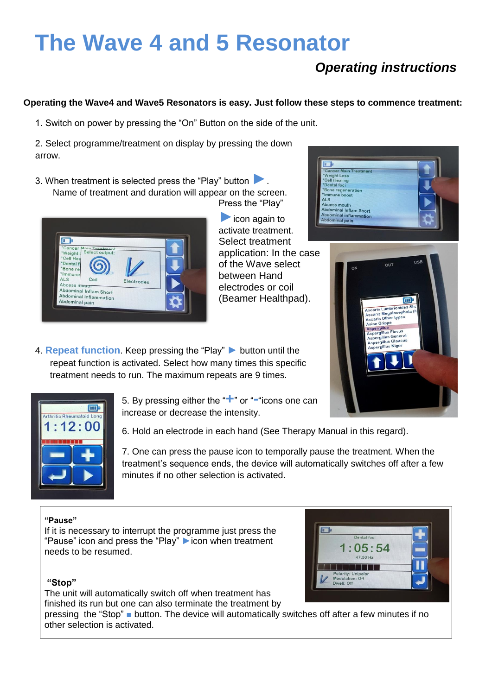# **The Wave 4 and 5 Resonator**

## *Operating instructions*

\*Cancer Main Treatr<br>\*Weight Loss<br>\*Cell Healing<br>\*Dental foci<br>\*Bone regeneration nune boost ALS Abcess mouth

 $Ahd$ 

#### **Operating the Wave4 and Wave5 Resonators is easy. Just follow these steps to commence treatment:**

1. Switch on power by pressing the "On" Button on the side of the unit.

2. Select programme/treatment on display by pressing the down arrow.

3. When treatment is selected press the "Play" button **►**. Name of treatment and duration will appear on the screen. Press the "Play"



**►**icon again to activate treatment. Select treatment application: In the case of the Wave select between Hand electrodes or coil (Beamer Healthpad).

4. **Repeat function**. Keep pressing the "Play" **►** button until the repeat function is activated. Select how many times this specific treatment needs to run. The maximum repeats are 9 times.



5. By pressing either the "**+**" or "**-**"icons one can increase or decrease the intensity.

6. Hold an electrode in each hand (See Therapy Manual in this regard).

7. One can press the pause icon to temporally pause the treatment. When the treatment's sequence ends, the device will automatically switches off after a few minutes if no other selection is activated.

#### **"Pause"**

If it is necessary to interrupt the programme just press the "Pause" icon and press the "Play" **►**icon when treatment needs to be resumed.

#### **"Stop"**

The unit will automatically switch off when treatment has finished its run but one can also terminate the treatment by

pressing the "Stop" **■** button. The device will automatically switches off after a few minutes if no other selection is activated.